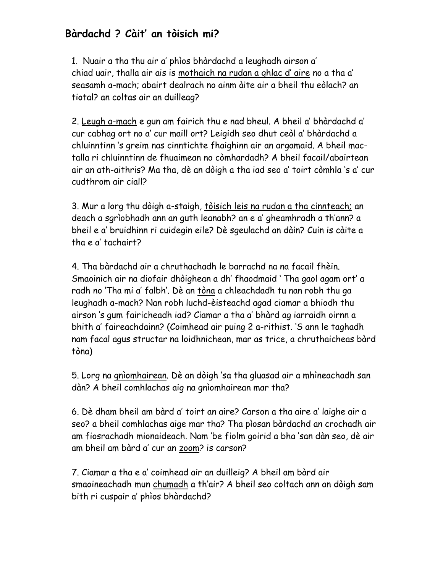## **Bàrdachd ? Càit' an tòisich mi?**

1. Nuair a tha thu air a' phìos bhàrdachd a leughadh airson a' chiad uair, thalla air ais is mothaich na rudan a ghlac d' aire no a tha a' seasamh a-mach; abairt dealrach no ainm àite air a bheil thu eòlach? an tiotal? an coltas air an duilleag?

2. Leugh a-mach e gun am fairich thu e nad bheul. A bheil a' bhàrdachd a' cur cabhag ort no a' cur maill ort? Leigidh seo dhut ceòl a' bhàrdachd a chluinntinn 's greim nas cinntichte fhaighinn air an argamaid. A bheil mactalla ri chluinntinn de fhuaimean no còmhardadh? A bheil facail/abairtean air an ath-aithris? Ma tha, dè an dòigh a tha iad seo a' toirt còmhla 's a' cur cudthrom air ciall?

3. Mur a lorg thu dòigh a-staigh, tòisich leis na rudan a tha cinnteach; an deach a sgrìobhadh ann an guth leanabh? an e a' gheamhradh a th'ann? a bheil e a' bruidhinn ri cuidegin eile? Dè sgeulachd an dàin? Cuin is càite a tha e a' tachairt?

4. Tha bàrdachd air a chruthachadh le barrachd na na facail fhèin. Smaoinich air na diofair dhòighean a dh' fhaodmaid ' Tha gaol agam ort' a radh no 'Tha mi a' falbh'. Dè an tòna a chleachdadh tu nan robh thu ga leughadh a-mach? Nan robh luchd-èisteachd agad ciamar a bhiodh thu airson 's gum fairicheadh iad? Ciamar a tha a' bhàrd ag iarraidh oirnn a bhith a' faireachdainn? (Coimhead air puing 2 a-rithist. 'S ann le taghadh nam facal agus structar na loidhnichean, mar as trice, a chruthaicheas bàrd tòna)

5. Lorg na gnìomhairean. Dè an dòigh 'sa tha gluasad air a mhìneachadh san dàn? A bheil comhlachas aig na gnìomhairean mar tha?

6. Dè dham bheil am bàrd a' toirt an aire? Carson a tha aire a' laighe air a seo? a bheil comhlachas aige mar tha? Tha pìosan bàrdachd an crochadh air am fiosrachadh mionaideach. Nam 'be fiolm goirid a bha 'san dàn seo, dè air am bheil am bàrd a' cur an zoom? is carson?

7. Ciamar a tha e a' coimhead air an duilleig? A bheil am bàrd air smaoineachadh mun chumadh a th'air? A bheil seo coltach ann an dòigh sam bith ri cuspair a' phìos bhàrdachd?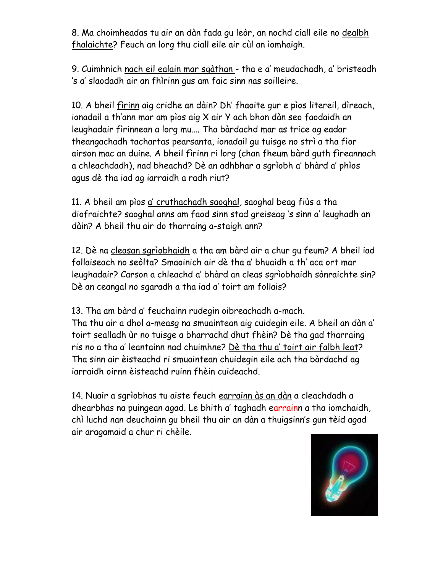8. Ma choimheadas tu air an dàn fada gu leòr, an nochd ciall eile no dealbh fhalaichte? Feuch an lorg thu ciall eile air cùl an ìomhaigh.

9. Cuimhnich nach eil ealain mar sgàthan - tha e a' meudachadh, a' bristeadh 's a' slaodadh air an fhìrinn gus am faic sinn nas soilleire.

10. A bheil fìrinn aig cridhe an dàin? Dh' fhaoite gur e pìos litereil, dìreach, ionadail a th'ann mar am pìos aig X air Y ach bhon dàn seo faodaidh an leughadair fìrinnean a lorg mu…. Tha bàrdachd mar as trice ag eadar theangachadh tachartas pearsanta, ionadail gu tuisge no strì a tha fìor airson mac an duine. A bheil fìrinn ri lorg (chan fheum bàrd guth fìreannach a chleachdadh), nad bheachd? Dè an adhbhar a sgrìobh a' bhàrd a' phìos agus dè tha iad ag iarraidh a radh riut?

11. A bheil am pìos a' cruthachadh saoghal, saoghal beag fiùs a tha diofraichte? saoghal anns am faod sinn stad greiseag 's sinn a' leughadh an dàin? A bheil thu air do tharraing a-staigh ann?

12. Dè na cleasan sgrìobhaidh a tha am bàrd air a chur gu feum? A bheil iad follaiseach no seòlta? Smaoinich air dè tha a' bhuaidh a th' aca ort mar leughadair? Carson a chleachd a' bhàrd an cleas sgrìobhaidh sònraichte sin? Dè an ceangal no sgaradh a tha iad a' toirt am follais?

13. Tha am bàrd a' feuchainn rudegin oibreachadh a-mach. Tha thu air a dhol a-measg na smuaintean aig cuidegin eile. A bheil an dàn a' toirt sealladh ùr no tuisge a bharrachd dhut fhèin? Dè tha gad tharraing ris no a tha a' leantainn nad chuimhne? Dè tha thu a' toirt air falbh leat? Tha sinn air èisteachd ri smuaintean chuidegin eile ach tha bàrdachd ag iarraidh oirnn èisteachd ruinn fhèin cuideachd.

14. Nuair a sgrìobhas tu aiste feuch earrainn às an dàn a cleachdadh a dhearbhas na puingean agad. Le bhith a' taghadh earrainn a tha iomchaidh, chì luchd nan deuchainn gu bheil thu air an dàn a thuigsinn's gun tèid agad air aragamaid a chur ri chèile.